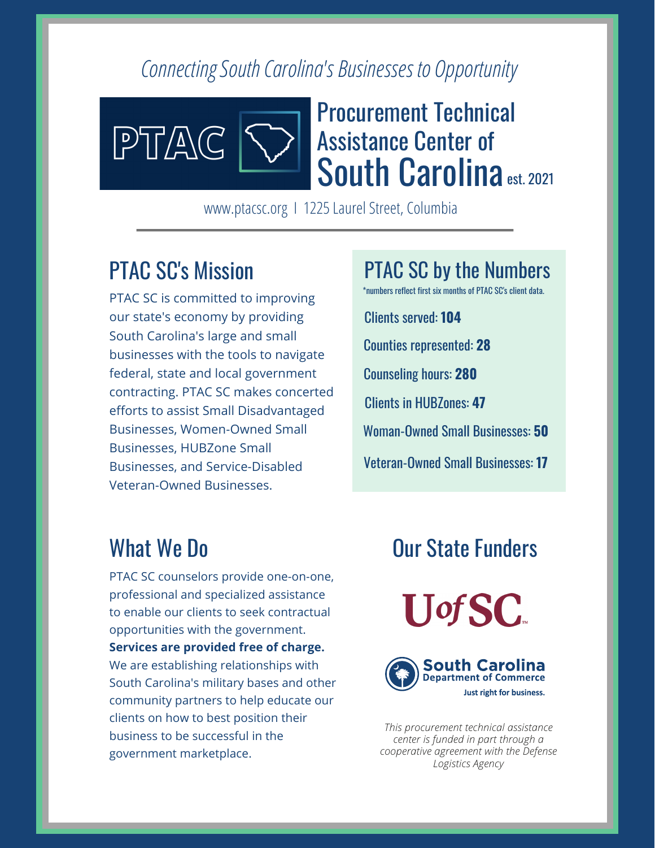#### *Connecting South Carolina's Businesses to Opportunity*



# Procurement Technical Assistance Center of South Carolina est. 2021

www.ptacsc.org | 1225 Laurel Street, Columbia

### PTAC SC's Mission

PTAC SC is committed to improving our state's economy by providing South Carolina's large and small businesses with the tools to navigate federal, state and local government contracting. PTAC SC makes concerted efforts to assist Small Disadvantaged Businesses, Women-Owned Small Businesses, HUBZone Small Businesses, and Service-Disabled Veteran-Owned Businesses.

Clients served: **104** Counties represented: **28** Counseling hours: **280** Clients in HUBZones: **47** Woman-Owned Small Businesses: **50** Veteran-Owned Small Businesses: **17** \*numbers reflect first six months of PTAC SC's client data.

PTAC SC by the Numbers

## What We Do

PTAC SC counselors provide one-on-one, professional and specialized assistance to enable our clients to seek contractual opportunities with the government. **Services are provided free of charge.** We are establishing relationships with South Carolina's military bases and other community partners to help educate our clients on how to best position their business to be successful in the government marketplace.

### Our State Funders





*This procurement technical assistance center is funded in part through a cooperative agreement with the Defense Logistics Agency*